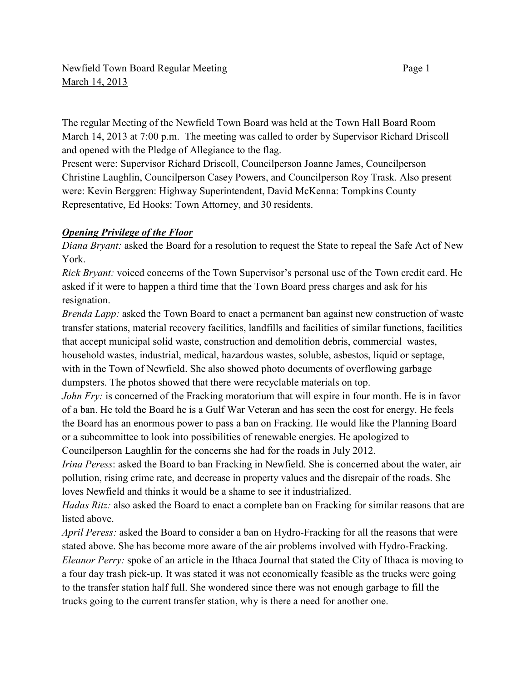The regular Meeting of the Newfield Town Board was held at the Town Hall Board Room March 14, 2013 at 7:00 p.m. The meeting was called to order by Supervisor Richard Driscoll and opened with the Pledge of Allegiance to the flag.

Present were: Supervisor Richard Driscoll, Councilperson Joanne James, Councilperson Christine Laughlin, Councilperson Casey Powers, and Councilperson Roy Trask. Also present were: Kevin Berggren: Highway Superintendent, David McKenna: Tompkins County Representative, Ed Hooks: Town Attorney, and 30 residents.

### *Opening Privilege of the Floor*

*Diana Bryant:* asked the Board for a resolution to request the State to repeal the Safe Act of New York.

*Rick Bryant:* voiced concerns of the Town Supervisor's personal use of the Town credit card. He asked if it were to happen a third time that the Town Board press charges and ask for his resignation.

*Brenda Lapp:* asked the Town Board to enact a permanent ban against new construction of waste transfer stations, material recovery facilities, landfills and facilities of similar functions, facilities that accept municipal solid waste, construction and demolition debris, commercial wastes, household wastes, industrial, medical, hazardous wastes, soluble, asbestos, liquid or septage, with in the Town of Newfield. She also showed photo documents of overflowing garbage dumpsters. The photos showed that there were recyclable materials on top.

*John Fry:* is concerned of the Fracking moratorium that will expire in four month. He is in favor of a ban. He told the Board he is a Gulf War Veteran and has seen the cost for energy. He feels the Board has an enormous power to pass a ban on Fracking. He would like the Planning Board or a subcommittee to look into possibilities of renewable energies. He apologized to Councilperson Laughlin for the concerns she had for the roads in July 2012.

*Irina Peress*: asked the Board to ban Fracking in Newfield. She is concerned about the water, air pollution, rising crime rate, and decrease in property values and the disrepair of the roads. She loves Newfield and thinks it would be a shame to see it industrialized.

*Hadas Ritz:* also asked the Board to enact a complete ban on Fracking for similar reasons that are listed above.

*April Peress:* asked the Board to consider a ban on Hydro-Fracking for all the reasons that were stated above. She has become more aware of the air problems involved with Hydro-Fracking. *Eleanor Perry:* spoke of an article in the Ithaca Journal that stated the City of Ithaca is moving to a four day trash pick-up. It was stated it was not economically feasible as the trucks were going to the transfer station half full. She wondered since there was not enough garbage to fill the trucks going to the current transfer station, why is there a need for another one.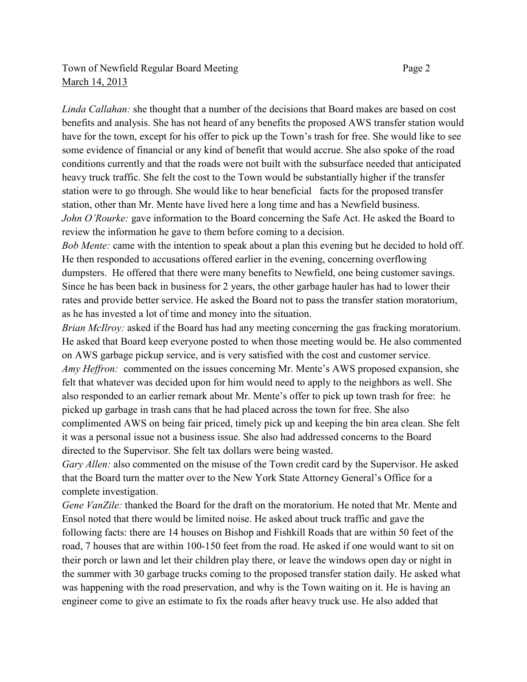## Town of Newfield Regular Board Meeting Page 2 March 14, 2013

*Linda Callahan:* she thought that a number of the decisions that Board makes are based on cost benefits and analysis. She has not heard of any benefits the proposed AWS transfer station would have for the town, except for his offer to pick up the Town's trash for free. She would like to see some evidence of financial or any kind of benefit that would accrue. She also spoke of the road conditions currently and that the roads were not built with the subsurface needed that anticipated heavy truck traffic. She felt the cost to the Town would be substantially higher if the transfer station were to go through. She would like to hear beneficial facts for the proposed transfer station, other than Mr. Mente have lived here a long time and has a Newfield business. *John O'Rourke:* gave information to the Board concerning the Safe Act. He asked the Board to review the information he gave to them before coming to a decision.

*Bob Mente:* came with the intention to speak about a plan this evening but he decided to hold off. He then responded to accusations offered earlier in the evening, concerning overflowing dumpsters. He offered that there were many benefits to Newfield, one being customer savings. Since he has been back in business for 2 years, the other garbage hauler has had to lower their rates and provide better service. He asked the Board not to pass the transfer station moratorium, as he has invested a lot of time and money into the situation.

*Brian McIlroy:* asked if the Board has had any meeting concerning the gas fracking moratorium. He asked that Board keep everyone posted to when those meeting would be. He also commented on AWS garbage pickup service, and is very satisfied with the cost and customer service. *Amy Heffron:* commented on the issues concerning Mr. Mente's AWS proposed expansion, she felt that whatever was decided upon for him would need to apply to the neighbors as well. She also responded to an earlier remark about Mr. Mente's offer to pick up town trash for free: he picked up garbage in trash cans that he had placed across the town for free. She also complimented AWS on being fair priced, timely pick up and keeping the bin area clean. She felt it was a personal issue not a business issue. She also had addressed concerns to the Board directed to the Supervisor. She felt tax dollars were being wasted.

*Gary Allen:* also commented on the misuse of the Town credit card by the Supervisor. He asked that the Board turn the matter over to the New York State Attorney General's Office for a complete investigation.

*Gene VanZile:* thanked the Board for the draft on the moratorium. He noted that Mr. Mente and Ensol noted that there would be limited noise. He asked about truck traffic and gave the following facts: there are 14 houses on Bishop and Fishkill Roads that are within 50 feet of the road, 7 houses that are within 100-150 feet from the road. He asked if one would want to sit on their porch or lawn and let their children play there, or leave the windows open day or night in the summer with 30 garbage trucks coming to the proposed transfer station daily. He asked what was happening with the road preservation, and why is the Town waiting on it. He is having an engineer come to give an estimate to fix the roads after heavy truck use. He also added that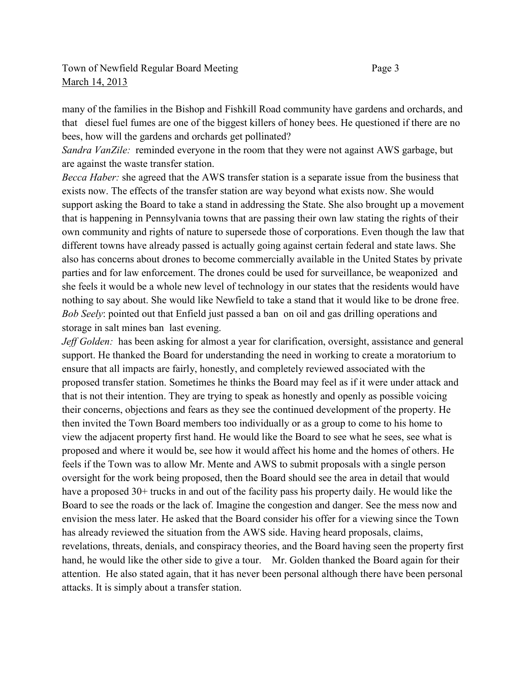many of the families in the Bishop and Fishkill Road community have gardens and orchards, and that diesel fuel fumes are one of the biggest killers of honey bees. He questioned if there are no bees, how will the gardens and orchards get pollinated?

*Sandra VanZile:* reminded everyone in the room that they were not against AWS garbage, but are against the waste transfer station.

*Becca Haber:* she agreed that the AWS transfer station is a separate issue from the business that exists now. The effects of the transfer station are way beyond what exists now. She would support asking the Board to take a stand in addressing the State. She also brought up a movement that is happening in Pennsylvania towns that are passing their own law stating the rights of their own community and rights of nature to supersede those of corporations. Even though the law that different towns have already passed is actually going against certain federal and state laws. She also has concerns about drones to become commercially available in the United States by private parties and for law enforcement. The drones could be used for surveillance, be weaponized and she feels it would be a whole new level of technology in our states that the residents would have nothing to say about. She would like Newfield to take a stand that it would like to be drone free. *Bob Seely*: pointed out that Enfield just passed a ban on oil and gas drilling operations and storage in salt mines ban last evening.

*Jeff Golden:* has been asking for almost a year for clarification, oversight, assistance and general support. He thanked the Board for understanding the need in working to create a moratorium to ensure that all impacts are fairly, honestly, and completely reviewed associated with the proposed transfer station. Sometimes he thinks the Board may feel as if it were under attack and that is not their intention. They are trying to speak as honestly and openly as possible voicing their concerns, objections and fears as they see the continued development of the property. He then invited the Town Board members too individually or as a group to come to his home to view the adjacent property first hand. He would like the Board to see what he sees, see what is proposed and where it would be, see how it would affect his home and the homes of others. He feels if the Town was to allow Mr. Mente and AWS to submit proposals with a single person oversight for the work being proposed, then the Board should see the area in detail that would have a proposed 30+ trucks in and out of the facility pass his property daily. He would like the Board to see the roads or the lack of. Imagine the congestion and danger. See the mess now and envision the mess later. He asked that the Board consider his offer for a viewing since the Town has already reviewed the situation from the AWS side. Having heard proposals, claims, revelations, threats, denials, and conspiracy theories, and the Board having seen the property first hand, he would like the other side to give a tour. Mr. Golden thanked the Board again for their attention. He also stated again, that it has never been personal although there have been personal attacks. It is simply about a transfer station.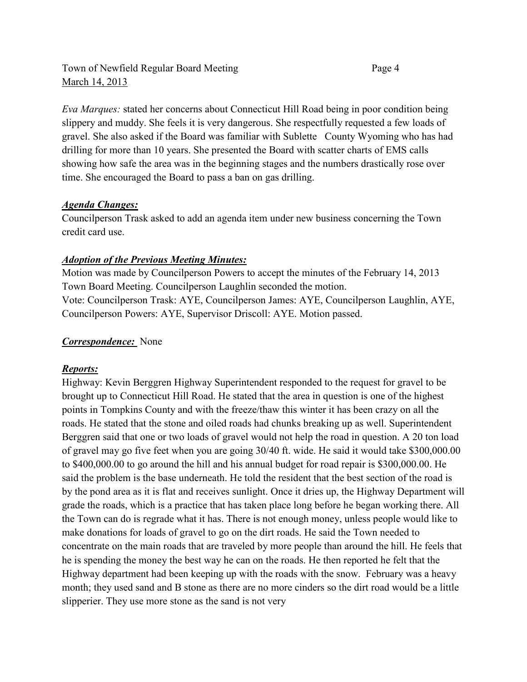## Town of Newfield Regular Board Meeting Page 4 March 14, 2013

*Eva Marques:* stated her concerns about Connecticut Hill Road being in poor condition being slippery and muddy. She feels it is very dangerous. She respectfully requested a few loads of gravel. She also asked if the Board was familiar with Sublette County Wyoming who has had drilling for more than 10 years. She presented the Board with scatter charts of EMS calls showing how safe the area was in the beginning stages and the numbers drastically rose over time. She encouraged the Board to pass a ban on gas drilling.

### *Agenda Changes:*

Councilperson Trask asked to add an agenda item under new business concerning the Town credit card use.

### *Adoption of the Previous Meeting Minutes:*

Motion was made by Councilperson Powers to accept the minutes of the February 14, 2013 Town Board Meeting. Councilperson Laughlin seconded the motion. Vote: Councilperson Trask: AYE, Councilperson James: AYE, Councilperson Laughlin, AYE, Councilperson Powers: AYE, Supervisor Driscoll: AYE. Motion passed.

### *Correspondence:* None

### *Reports:*

Highway: Kevin Berggren Highway Superintendent responded to the request for gravel to be brought up to Connecticut Hill Road. He stated that the area in question is one of the highest points in Tompkins County and with the freeze/thaw this winter it has been crazy on all the roads. He stated that the stone and oiled roads had chunks breaking up as well. Superintendent Berggren said that one or two loads of gravel would not help the road in question. A 20 ton load of gravel may go five feet when you are going 30/40 ft. wide. He said it would take \$300,000.00 to \$400,000.00 to go around the hill and his annual budget for road repair is \$300,000.00. He said the problem is the base underneath. He told the resident that the best section of the road is by the pond area as it is flat and receives sunlight. Once it dries up, the Highway Department will grade the roads, which is a practice that has taken place long before he began working there. All the Town can do is regrade what it has. There is not enough money, unless people would like to make donations for loads of gravel to go on the dirt roads. He said the Town needed to concentrate on the main roads that are traveled by more people than around the hill. He feels that he is spending the money the best way he can on the roads. He then reported he felt that the Highway department had been keeping up with the roads with the snow. February was a heavy month; they used sand and B stone as there are no more cinders so the dirt road would be a little slipperier. They use more stone as the sand is not very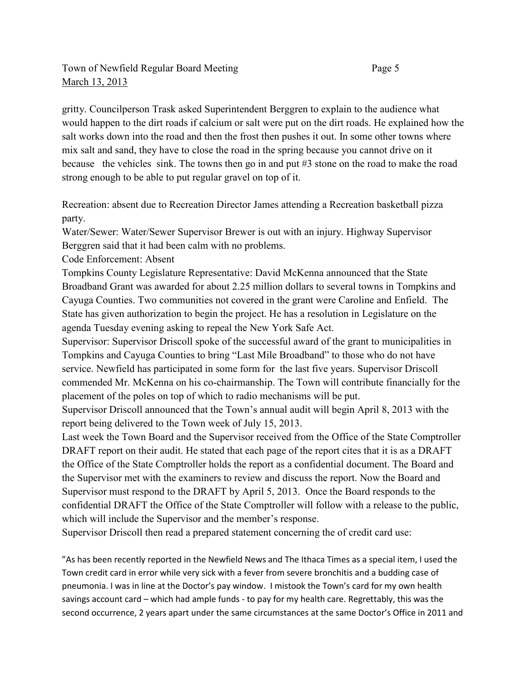gritty. Councilperson Trask asked Superintendent Berggren to explain to the audience what would happen to the dirt roads if calcium or salt were put on the dirt roads. He explained how the salt works down into the road and then the frost then pushes it out. In some other towns where mix salt and sand, they have to close the road in the spring because you cannot drive on it because the vehicles sink. The towns then go in and put #3 stone on the road to make the road strong enough to be able to put regular gravel on top of it.

Recreation: absent due to Recreation Director James attending a Recreation basketball pizza party.

Water/Sewer: Water/Sewer Supervisor Brewer is out with an injury. Highway Supervisor Berggren said that it had been calm with no problems.

Code Enforcement: Absent

Tompkins County Legislature Representative: David McKenna announced that the State Broadband Grant was awarded for about 2.25 million dollars to several towns in Tompkins and Cayuga Counties. Two communities not covered in the grant were Caroline and Enfield. The State has given authorization to begin the project. He has a resolution in Legislature on the agenda Tuesday evening asking to repeal the New York Safe Act.

Supervisor: Supervisor Driscoll spoke of the successful award of the grant to municipalities in Tompkins and Cayuga Counties to bring "Last Mile Broadband" to those who do not have service. Newfield has participated in some form for the last five years. Supervisor Driscoll commended Mr. McKenna on his co-chairmanship. The Town will contribute financially for the placement of the poles on top of which to radio mechanisms will be put.

Supervisor Driscoll announced that the Town's annual audit will begin April 8, 2013 with the report being delivered to the Town week of July 15, 2013.

Last week the Town Board and the Supervisor received from the Office of the State Comptroller DRAFT report on their audit. He stated that each page of the report cites that it is as a DRAFT the Office of the State Comptroller holds the report as a confidential document. The Board and the Supervisor met with the examiners to review and discuss the report. Now the Board and Supervisor must respond to the DRAFT by April 5, 2013. Once the Board responds to the confidential DRAFT the Office of the State Comptroller will follow with a release to the public, which will include the Supervisor and the member's response.

Supervisor Driscoll then read a prepared statement concerning the of credit card use:

"As has been recently reported in the Newfield News and The Ithaca Times as a special item, I used the Town credit card in error while very sick with a fever from severe bronchitis and a budding case of pneumonia. I was in line at the Doctor's pay window. I mistook the Town's card for my own health savings account card – which had ample funds - to pay for my health care. Regrettably, this was the second occurrence, 2 years apart under the same circumstances at the same Doctor's Office in 2011 and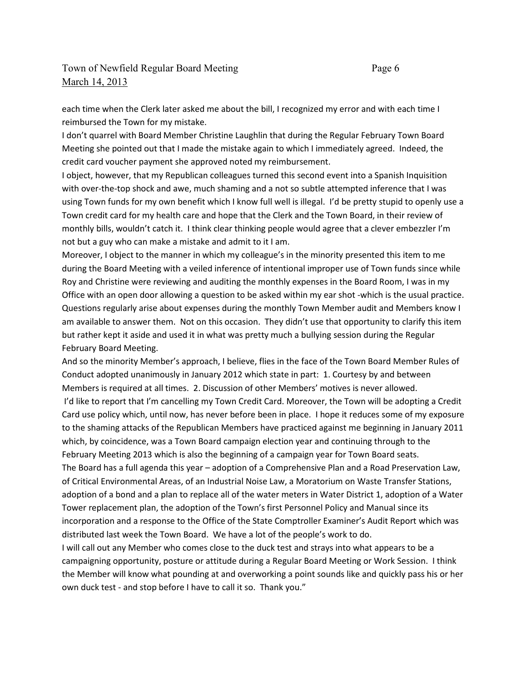each time when the Clerk later asked me about the bill, I recognized my error and with each time I reimbursed the Town for my mistake.

I don't quarrel with Board Member Christine Laughlin that during the Regular February Town Board Meeting she pointed out that I made the mistake again to which I immediately agreed. Indeed, the credit card voucher payment she approved noted my reimbursement.

I object, however, that my Republican colleagues turned this second event into a Spanish Inquisition with over-the-top shock and awe, much shaming and a not so subtle attempted inference that I was using Town funds for my own benefit which I know full well is illegal. I'd be pretty stupid to openly use a Town credit card for my health care and hope that the Clerk and the Town Board, in their review of monthly bills, wouldn't catch it. I think clear thinking people would agree that a clever embezzler I'm not but a guy who can make a mistake and admit to it I am.

Moreover, I object to the manner in which my colleague's in the minority presented this item to me during the Board Meeting with a veiled inference of intentional improper use of Town funds since while Roy and Christine were reviewing and auditing the monthly expenses in the Board Room, I was in my Office with an open door allowing a question to be asked within my ear shot -which is the usual practice. Questions regularly arise about expenses during the monthly Town Member audit and Members know I am available to answer them. Not on this occasion. They didn't use that opportunity to clarify this item but rather kept it aside and used it in what was pretty much a bullying session during the Regular February Board Meeting.

And so the minority Member's approach, I believe, flies in the face of the Town Board Member Rules of Conduct adopted unanimously in January 2012 which state in part: 1. Courtesy by and between Members is required at all times. 2. Discussion of other Members' motives is never allowed. I'd like to report that I'm cancelling my Town Credit Card. Moreover, the Town will be adopting a Credit Card use policy which, until now, has never before been in place. I hope it reduces some of my exposure to the shaming attacks of the Republican Members have practiced against me beginning in January 2011 which, by coincidence, was a Town Board campaign election year and continuing through to the February Meeting 2013 which is also the beginning of a campaign year for Town Board seats. The Board has a full agenda this year – adoption of a Comprehensive Plan and a Road Preservation Law, of Critical Environmental Areas, of an Industrial Noise Law, a Moratorium on Waste Transfer Stations, adoption of a bond and a plan to replace all of the water meters in Water District 1, adoption of a Water Tower replacement plan, the adoption of the Town's first Personnel Policy and Manual since its incorporation and a response to the Office of the State Comptroller Examiner's Audit Report which was distributed last week the Town Board. We have a lot of the people's work to do.

I will call out any Member who comes close to the duck test and strays into what appears to be a campaigning opportunity, posture or attitude during a Regular Board Meeting or Work Session. I think the Member will know what pounding at and overworking a point sounds like and quickly pass his or her own duck test - and stop before I have to call it so. Thank you."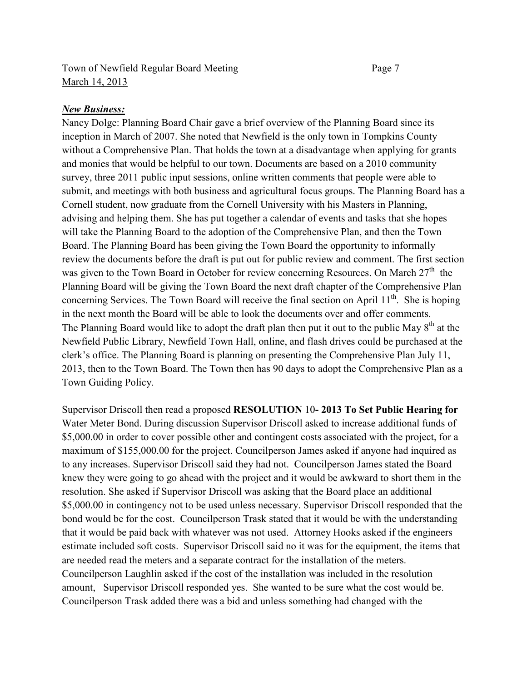### Town of Newfield Regular Board Meeting Page 7 March 14, 2013

#### *New Business:*

Nancy Dolge: Planning Board Chair gave a brief overview of the Planning Board since its inception in March of 2007. She noted that Newfield is the only town in Tompkins County without a Comprehensive Plan. That holds the town at a disadvantage when applying for grants and monies that would be helpful to our town. Documents are based on a 2010 community survey, three 2011 public input sessions, online written comments that people were able to submit, and meetings with both business and agricultural focus groups. The Planning Board has a Cornell student, now graduate from the Cornell University with his Masters in Planning, advising and helping them. She has put together a calendar of events and tasks that she hopes will take the Planning Board to the adoption of the Comprehensive Plan, and then the Town Board. The Planning Board has been giving the Town Board the opportunity to informally review the documents before the draft is put out for public review and comment. The first section was given to the Town Board in October for review concerning Resources. On March  $27<sup>th</sup>$  the Planning Board will be giving the Town Board the next draft chapter of the Comprehensive Plan concerning Services. The Town Board will receive the final section on April  $11<sup>th</sup>$ . She is hoping in the next month the Board will be able to look the documents over and offer comments. The Planning Board would like to adopt the draft plan then put it out to the public May 8<sup>th</sup> at the Newfield Public Library, Newfield Town Hall, online, and flash drives could be purchased at the clerk's office. The Planning Board is planning on presenting the Comprehensive Plan July 11, 2013, then to the Town Board. The Town then has 90 days to adopt the Comprehensive Plan as a Town Guiding Policy.

Supervisor Driscoll then read a proposed **RESOLUTION** 10**- 2013 To Set Public Hearing for** Water Meter Bond. During discussion Supervisor Driscoll asked to increase additional funds of \$5,000.00 in order to cover possible other and contingent costs associated with the project, for a maximum of \$155,000.00 for the project. Councilperson James asked if anyone had inquired as to any increases. Supervisor Driscoll said they had not. Councilperson James stated the Board knew they were going to go ahead with the project and it would be awkward to short them in the resolution. She asked if Supervisor Driscoll was asking that the Board place an additional \$5,000.00 in contingency not to be used unless necessary. Supervisor Driscoll responded that the bond would be for the cost. Councilperson Trask stated that it would be with the understanding that it would be paid back with whatever was not used. Attorney Hooks asked if the engineers estimate included soft costs. Supervisor Driscoll said no it was for the equipment, the items that are needed read the meters and a separate contract for the installation of the meters. Councilperson Laughlin asked if the cost of the installation was included in the resolution amount, Supervisor Driscoll responded yes. She wanted to be sure what the cost would be. Councilperson Trask added there was a bid and unless something had changed with the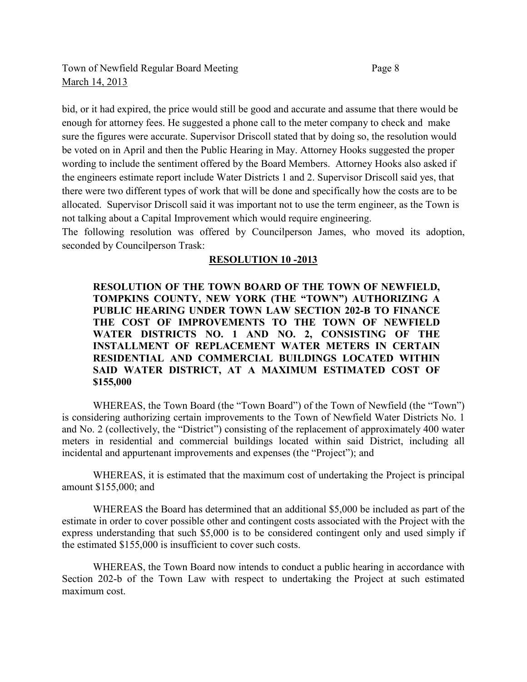bid, or it had expired, the price would still be good and accurate and assume that there would be enough for attorney fees. He suggested a phone call to the meter company to check and make sure the figures were accurate. Supervisor Driscoll stated that by doing so, the resolution would be voted on in April and then the Public Hearing in May. Attorney Hooks suggested the proper wording to include the sentiment offered by the Board Members. Attorney Hooks also asked if the engineers estimate report include Water Districts 1 and 2. Supervisor Driscoll said yes, that there were two different types of work that will be done and specifically how the costs are to be allocated. Supervisor Driscoll said it was important not to use the term engineer, as the Town is not talking about a Capital Improvement which would require engineering.

The following resolution was offered by Councilperson James, who moved its adoption, seconded by Councilperson Trask:

### **RESOLUTION 10 -2013**

**RESOLUTION OF THE TOWN BOARD OF THE TOWN OF NEWFIELD, TOMPKINS COUNTY, NEW YORK (THE "TOWN") AUTHORIZING A PUBLIC HEARING UNDER TOWN LAW SECTION 202-B TO FINANCE THE COST OF IMPROVEMENTS TO THE TOWN OF NEWFIELD WATER DISTRICTS NO. 1 AND NO. 2, CONSISTING OF THE INSTALLMENT OF REPLACEMENT WATER METERS IN CERTAIN RESIDENTIAL AND COMMERCIAL BUILDINGS LOCATED WITHIN SAID WATER DISTRICT, AT A MAXIMUM ESTIMATED COST OF \$155,000** 

WHEREAS, the Town Board (the "Town Board") of the Town of Newfield (the "Town") is considering authorizing certain improvements to the Town of Newfield Water Districts No. 1 and No. 2 (collectively, the "District") consisting of the replacement of approximately 400 water meters in residential and commercial buildings located within said District, including all incidental and appurtenant improvements and expenses (the "Project"); and

WHEREAS, it is estimated that the maximum cost of undertaking the Project is principal amount \$155,000; and

WHEREAS the Board has determined that an additional \$5,000 be included as part of the estimate in order to cover possible other and contingent costs associated with the Project with the express understanding that such \$5,000 is to be considered contingent only and used simply if the estimated \$155,000 is insufficient to cover such costs.

WHEREAS, the Town Board now intends to conduct a public hearing in accordance with Section 202-b of the Town Law with respect to undertaking the Project at such estimated maximum cost.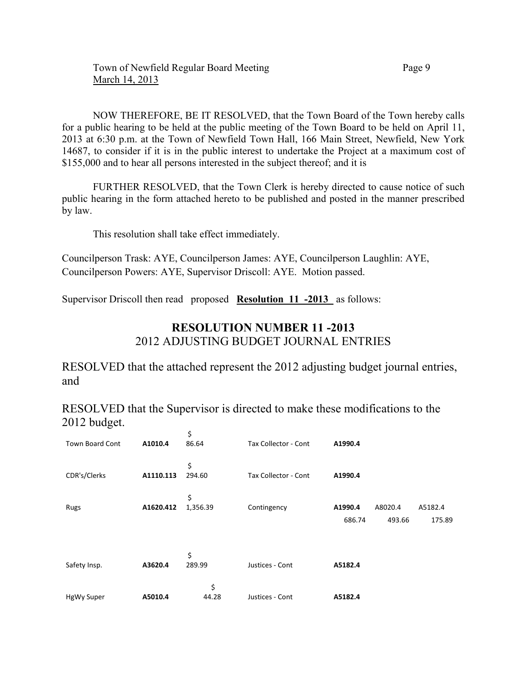NOW THEREFORE, BE IT RESOLVED, that the Town Board of the Town hereby calls for a public hearing to be held at the public meeting of the Town Board to be held on April 11, 2013 at 6:30 p.m. at the Town of Newfield Town Hall, 166 Main Street, Newfield, New York 14687, to consider if it is in the public interest to undertake the Project at a maximum cost of \$155,000 and to hear all persons interested in the subject thereof; and it is

FURTHER RESOLVED, that the Town Clerk is hereby directed to cause notice of such public hearing in the form attached hereto to be published and posted in the manner prescribed by law.

This resolution shall take effect immediately.

Councilperson Trask: AYE, Councilperson James: AYE, Councilperson Laughlin: AYE, Councilperson Powers: AYE, Supervisor Driscoll: AYE. Motion passed.

Supervisor Driscoll then read proposed **Resolution 11 -2013** as follows:

# **RESOLUTION NUMBER 11 -2013**  2012 ADJUSTING BUDGET JOURNAL ENTRIES

RESOLVED that the attached represent the 2012 adjusting budget journal entries, and

RESOLVED that the Supervisor is directed to make these modifications to the 2012 budget.

| <b>Town Board Cont</b> | A1010.4   | \$<br>86.64    | Tax Collector - Cont | A1990.4           |                   |                   |
|------------------------|-----------|----------------|----------------------|-------------------|-------------------|-------------------|
| CDR's/Clerks           | A1110.113 | \$<br>294.60   | Tax Collector - Cont | A1990.4           |                   |                   |
| Rugs                   | A1620.412 | \$<br>1,356.39 | Contingency          | A1990.4<br>686.74 | A8020.4<br>493.66 | A5182.4<br>175.89 |
| Safety Insp.           | A3620.4   | \$<br>289.99   | Justices - Cont      | A5182.4           |                   |                   |
| <b>HgWy Super</b>      | A5010.4   | \$<br>44.28    | Justices - Cont      | A5182.4           |                   |                   |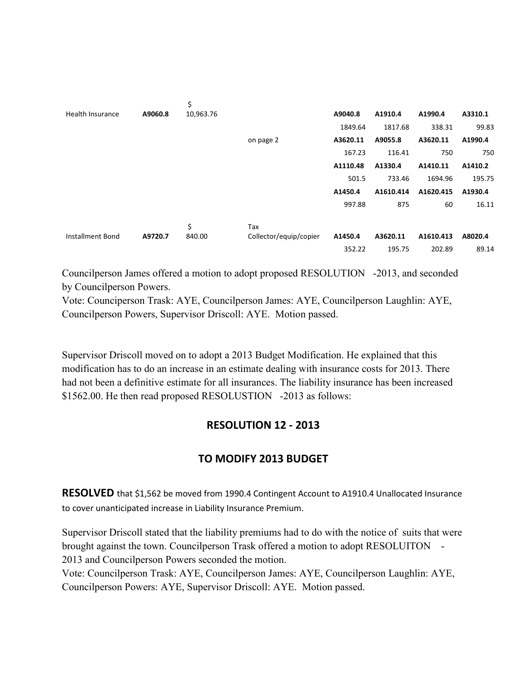|                         |         | \$        |                        |          |           |           |         |
|-------------------------|---------|-----------|------------------------|----------|-----------|-----------|---------|
| Health Insurance        | A9060.8 | 10,963.76 |                        | A9040.8  | A1910.4   | A1990.4   | A3310.1 |
|                         |         |           |                        | 1849.64  | 1817.68   | 338.31    | 99.83   |
|                         |         |           | on page 2              | A3620.11 | A9055.8   | A3620.11  | A1990.4 |
|                         |         |           |                        | 167.23   | 116.41    | 750       | 750     |
|                         |         |           |                        | A1110.48 | A1330.4   | A1410.11  | A1410.2 |
|                         |         |           |                        | 501.5    | 733.46    | 1694.96   | 195.75  |
|                         |         |           |                        | A1450.4  | A1610.414 | A1620.415 | A1930.4 |
|                         |         |           |                        | 997.88   | 875       | 60        | 16.11   |
|                         |         |           |                        |          |           |           |         |
|                         |         | \$        | Tax                    |          |           |           |         |
| <b>Installment Bond</b> | A9720.7 | 840.00    | Collector/equip/copier | A1450.4  | A3620.11  | A1610.413 | A8020.4 |
|                         |         |           |                        | 352.22   | 195.75    | 202.89    | 89.14   |

Councilperson James offered a motion to adopt proposed RESOLUTION -2013, and seconded by Councilperson Powers.

Vote: Counciperson Trask: AYE, Councilperson James: AYE, Councilperson Laughlin: AYE, Councilperson Powers, Supervisor Driscoll: AYE. Motion passed.

Supervisor Driscoll moved on to adopt a 2013 Budget Modification. He explained that this modification has to do an increase in an estimate dealing with insurance costs for 2013. There had not been a definitive estimate for all insurances. The liability insurance has been increased \$1562.00. He then read proposed RESOLUSTION -2013 as follows:

# **RESOLUTION 12 - 2013**

# **TO MODIFY 2013 BUDGET**

**RESOLVED** that \$1,562 be moved from 1990.4 Contingent Account to A1910.4 Unallocated Insurance to cover unanticipated increase in Liability Insurance Premium.

Supervisor Driscoll stated that the liability premiums had to do with the notice of suits that were brought against the town. Councilperson Trask offered a motion to adopt RESOLUITON - 2013 and Councilperson Powers seconded the motion.

Vote: Councilperson Trask: AYE, Councilperson James: AYE, Councilperson Laughlin: AYE, Councilperson Powers: AYE, Supervisor Driscoll: AYE. Motion passed.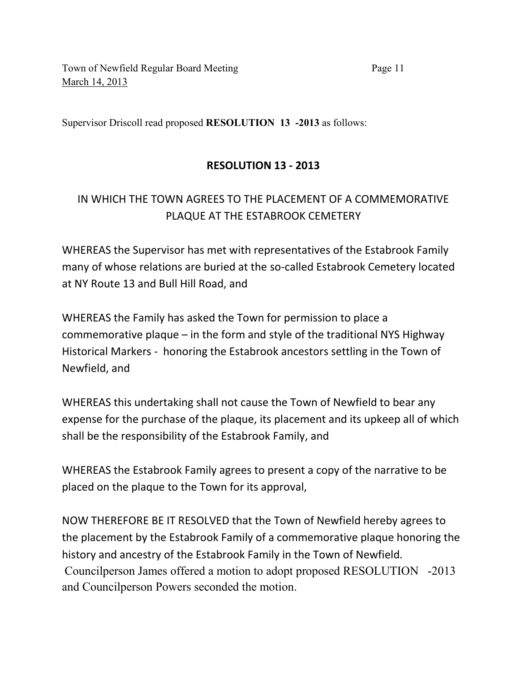Supervisor Driscoll read proposed **RESOLUTION 13 -2013** as follows:

# **RESOLUTION 13 - 2013**

# IN WHICH THE TOWN AGREES TO THE PLACEMENT OF A COMMEMORATIVE PLAQUE AT THE ESTABROOK CEMETERY

WHEREAS the Supervisor has met with representatives of the Estabrook Family many of whose relations are buried at the so-called Estabrook Cemetery located at NY Route 13 and Bull Hill Road, and

WHEREAS the Family has asked the Town for permission to place a commemorative plaque – in the form and style of the traditional NYS Highway Historical Markers - honoring the Estabrook ancestors settling in the Town of Newfield, and

WHEREAS this undertaking shall not cause the Town of Newfield to bear any expense for the purchase of the plaque, its placement and its upkeep all of which shall be the responsibility of the Estabrook Family, and

WHEREAS the Estabrook Family agrees to present a copy of the narrative to be placed on the plaque to the Town for its approval,

NOW THEREFORE BE IT RESOLVED that the Town of Newfield hereby agrees to the placement by the Estabrook Family of a commemorative plaque honoring the history and ancestry of the Estabrook Family in the Town of Newfield. Councilperson James offered a motion to adopt proposed RESOLUTION -2013 and Councilperson Powers seconded the motion.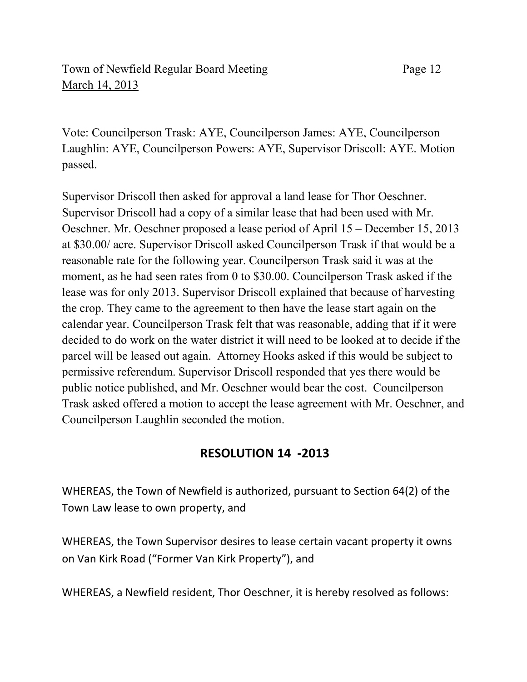# Town of Newfield Regular Board Meeting Page 12 March 14, 2013

Vote: Councilperson Trask: AYE, Councilperson James: AYE, Councilperson Laughlin: AYE, Councilperson Powers: AYE, Supervisor Driscoll: AYE. Motion passed.

Supervisor Driscoll then asked for approval a land lease for Thor Oeschner. Supervisor Driscoll had a copy of a similar lease that had been used with Mr. Oeschner. Mr. Oeschner proposed a lease period of April 15 – December 15, 2013 at \$30.00/ acre. Supervisor Driscoll asked Councilperson Trask if that would be a reasonable rate for the following year. Councilperson Trask said it was at the moment, as he had seen rates from 0 to \$30.00. Councilperson Trask asked if the lease was for only 2013. Supervisor Driscoll explained that because of harvesting the crop. They came to the agreement to then have the lease start again on the calendar year. Councilperson Trask felt that was reasonable, adding that if it were decided to do work on the water district it will need to be looked at to decide if the parcel will be leased out again. Attorney Hooks asked if this would be subject to permissive referendum. Supervisor Driscoll responded that yes there would be public notice published, and Mr. Oeschner would bear the cost. Councilperson Trask asked offered a motion to accept the lease agreement with Mr. Oeschner, and Councilperson Laughlin seconded the motion.

# **RESOLUTION 14 -2013**

WHEREAS, the Town of Newfield is authorized, pursuant to Section 64(2) of the Town Law lease to own property, and

WHEREAS, the Town Supervisor desires to lease certain vacant property it owns on Van Kirk Road ("Former Van Kirk Property"), and

WHEREAS, a Newfield resident, Thor Oeschner, it is hereby resolved as follows: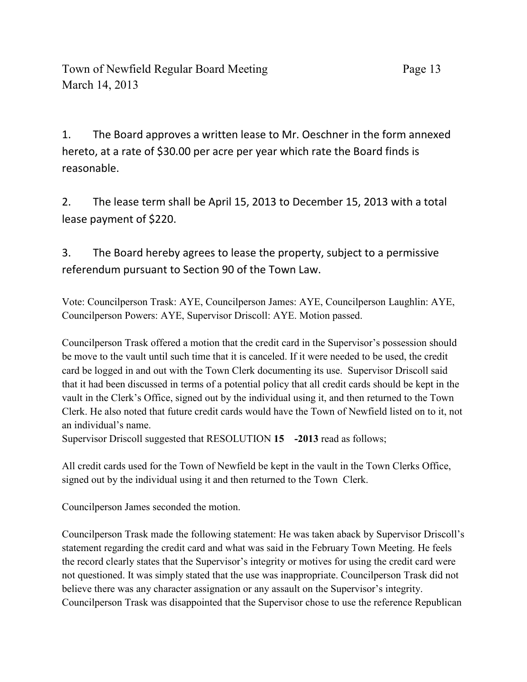1. The Board approves a written lease to Mr. Oeschner in the form annexed hereto, at a rate of \$30.00 per acre per year which rate the Board finds is reasonable.

2. The lease term shall be April 15, 2013 to December 15, 2013 with a total lease payment of \$220.

3. The Board hereby agrees to lease the property, subject to a permissive referendum pursuant to Section 90 of the Town Law.

Vote: Councilperson Trask: AYE, Councilperson James: AYE, Councilperson Laughlin: AYE, Councilperson Powers: AYE, Supervisor Driscoll: AYE. Motion passed.

Councilperson Trask offered a motion that the credit card in the Supervisor's possession should be move to the vault until such time that it is canceled. If it were needed to be used, the credit card be logged in and out with the Town Clerk documenting its use. Supervisor Driscoll said that it had been discussed in terms of a potential policy that all credit cards should be kept in the vault in the Clerk's Office, signed out by the individual using it, and then returned to the Town Clerk. He also noted that future credit cards would have the Town of Newfield listed on to it, not an individual's name.

Supervisor Driscoll suggested that RESOLUTION **15 -2013** read as follows;

All credit cards used for the Town of Newfield be kept in the vault in the Town Clerks Office, signed out by the individual using it and then returned to the Town Clerk.

Councilperson James seconded the motion.

Councilperson Trask made the following statement: He was taken aback by Supervisor Driscoll's statement regarding the credit card and what was said in the February Town Meeting. He feels the record clearly states that the Supervisor's integrity or motives for using the credit card were not questioned. It was simply stated that the use was inappropriate. Councilperson Trask did not believe there was any character assignation or any assault on the Supervisor's integrity. Councilperson Trask was disappointed that the Supervisor chose to use the reference Republican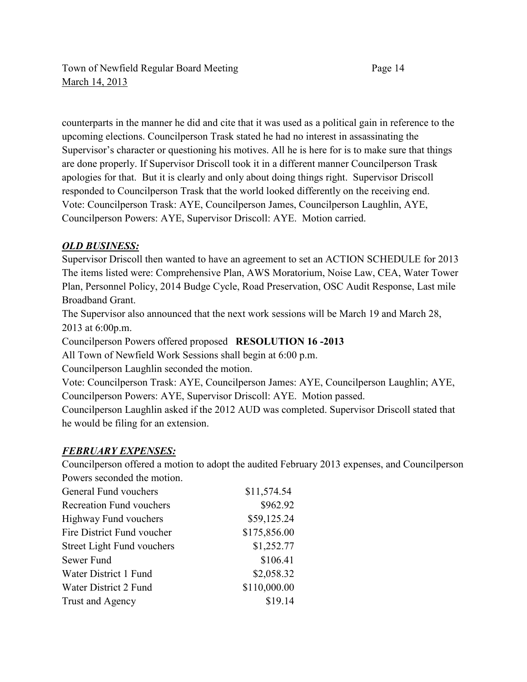counterparts in the manner he did and cite that it was used as a political gain in reference to the upcoming elections. Councilperson Trask stated he had no interest in assassinating the Supervisor's character or questioning his motives. All he is here for is to make sure that things are done properly. If Supervisor Driscoll took it in a different manner Councilperson Trask apologies for that. But it is clearly and only about doing things right. Supervisor Driscoll responded to Councilperson Trask that the world looked differently on the receiving end. Vote: Councilperson Trask: AYE, Councilperson James, Councilperson Laughlin, AYE, Councilperson Powers: AYE, Supervisor Driscoll: AYE. Motion carried.

## *OLD BUSINESS:*

Supervisor Driscoll then wanted to have an agreement to set an ACTION SCHEDULE for 2013 The items listed were: Comprehensive Plan, AWS Moratorium, Noise Law, CEA, Water Tower Plan, Personnel Policy, 2014 Budge Cycle, Road Preservation, OSC Audit Response, Last mile Broadband Grant.

The Supervisor also announced that the next work sessions will be March 19 and March 28, 2013 at 6:00p.m.

Councilperson Powers offered proposed **RESOLUTION 16 -2013**

All Town of Newfield Work Sessions shall begin at 6:00 p.m.

Councilperson Laughlin seconded the motion.

Vote: Councilperson Trask: AYE, Councilperson James: AYE, Councilperson Laughlin; AYE, Councilperson Powers: AYE, Supervisor Driscoll: AYE. Motion passed.

Councilperson Laughlin asked if the 2012 AUD was completed. Supervisor Driscoll stated that he would be filing for an extension.

# *FEBRUARY EXPENSES:*

Councilperson offered a motion to adopt the audited February 2013 expenses, and Councilperson Powers seconded the motion.

| General Fund vouchers        | \$11,574.54  |
|------------------------------|--------------|
| Recreation Fund vouchers     | \$962.92     |
| <b>Highway Fund vouchers</b> | \$59,125.24  |
| Fire District Fund voucher   | \$175,856.00 |
| Street Light Fund vouchers   | \$1,252.77   |
| Sewer Fund                   | \$106.41     |
| Water District 1 Fund        | \$2,058.32   |
| Water District 2 Fund        | \$110,000.00 |
| Trust and Agency             | \$19.14      |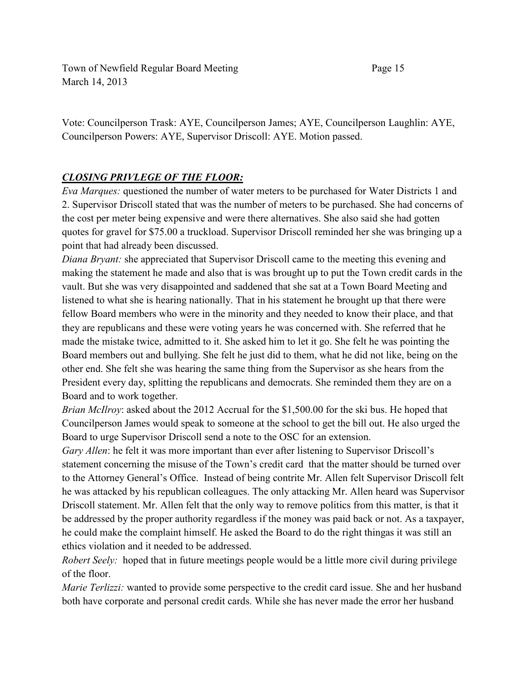Town of Newfield Regular Board Meeting Page 15 March 14, 2013

Vote: Councilperson Trask: AYE, Councilperson James; AYE, Councilperson Laughlin: AYE, Councilperson Powers: AYE, Supervisor Driscoll: AYE. Motion passed.

# *CLOSING PRIVLEGE OF THE FLOOR:*

*Eva Marques:* questioned the number of water meters to be purchased for Water Districts 1 and 2. Supervisor Driscoll stated that was the number of meters to be purchased. She had concerns of the cost per meter being expensive and were there alternatives. She also said she had gotten quotes for gravel for \$75.00 a truckload. Supervisor Driscoll reminded her she was bringing up a point that had already been discussed.

*Diana Bryant:* she appreciated that Supervisor Driscoll came to the meeting this evening and making the statement he made and also that is was brought up to put the Town credit cards in the vault. But she was very disappointed and saddened that she sat at a Town Board Meeting and listened to what she is hearing nationally. That in his statement he brought up that there were fellow Board members who were in the minority and they needed to know their place, and that they are republicans and these were voting years he was concerned with. She referred that he made the mistake twice, admitted to it. She asked him to let it go. She felt he was pointing the Board members out and bullying. She felt he just did to them, what he did not like, being on the other end. She felt she was hearing the same thing from the Supervisor as she hears from the President every day, splitting the republicans and democrats. She reminded them they are on a Board and to work together.

*Brian McIlroy*: asked about the 2012 Accrual for the \$1,500.00 for the ski bus. He hoped that Councilperson James would speak to someone at the school to get the bill out. He also urged the Board to urge Supervisor Driscoll send a note to the OSC for an extension.

*Gary Allen*: he felt it was more important than ever after listening to Supervisor Driscoll's statement concerning the misuse of the Town's credit card that the matter should be turned over to the Attorney General's Office. Instead of being contrite Mr. Allen felt Supervisor Driscoll felt he was attacked by his republican colleagues. The only attacking Mr. Allen heard was Supervisor Driscoll statement. Mr. Allen felt that the only way to remove politics from this matter, is that it be addressed by the proper authority regardless if the money was paid back or not. As a taxpayer, he could make the complaint himself. He asked the Board to do the right thingas it was still an ethics violation and it needed to be addressed.

*Robert Seely:* hoped that in future meetings people would be a little more civil during privilege of the floor.

*Marie Terlizzi:* wanted to provide some perspective to the credit card issue. She and her husband both have corporate and personal credit cards. While she has never made the error her husband